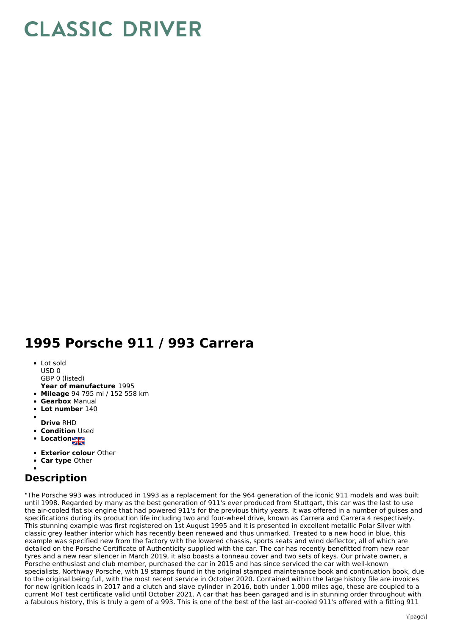## **CLASSIC DRIVER**

## **1995 Porsche 911 / 993 Carrera**

- Lot sold USD 0
- 
- **Year of manufacture** 1995 GBP 0 (listed)
- **Mileage** 94 795 mi / 152 558 km
- **Gearbox** Manual
- 
- **Lot number** 140
- **Drive** RHD
- **Condition Used**
- Location**NE**
- 
- **Exterior colour** Other
- **Car type** Other

## **Description**

"The Porsche 993 was introduced in 1993 as a replacement for the 964 generation of the iconic 911 models and was built until 1998. Regarded by many as the best generation of 911's ever produced from Stuttgart, this car was the last to use the air-cooled flat six engine that had powered 911's for the previous thirty years. It was offered in a number of guises and specifications during its production life including two and four-wheel drive, known as Carrera and Carrera 4 respectively. This stunning example was first registered on 1st August 1995 and it is presented in excellent metallic Polar Silver with classic grey leather interior which has recently been renewed and thus unmarked. Treated to a new hood in blue, this example was specified new from the factory with the lowered chassis, sports seats and wind deflector, all of which are detailed on the Porsche Certificate of Authenticity supplied with the car. The car has recently benefitted from new rear tyres and a new rear silencer in March 2019, it also boasts a tonneau cover and two sets of keys. Our private owner, a Porsche enthusiast and club member, purchased the car in 2015 and has since serviced the car with well-known specialists, Northway Porsche, with 19 stamps found in the original stamped maintenance book and continuation book, due to the original being full, with the most recent service in October 2020. Contained within the large history file are invoices for new ignition leads in 2017 and a clutch and slave cylinder in 2016, both under 1,000 miles ago, these are coupled to a current MoT test certificate valid until October 2021. A car that has been garaged and is in stunning order throughout with a fabulous history, this is truly a gem of a 993. This is one of the best of the last air-cooled 911's offered with a fitting 911